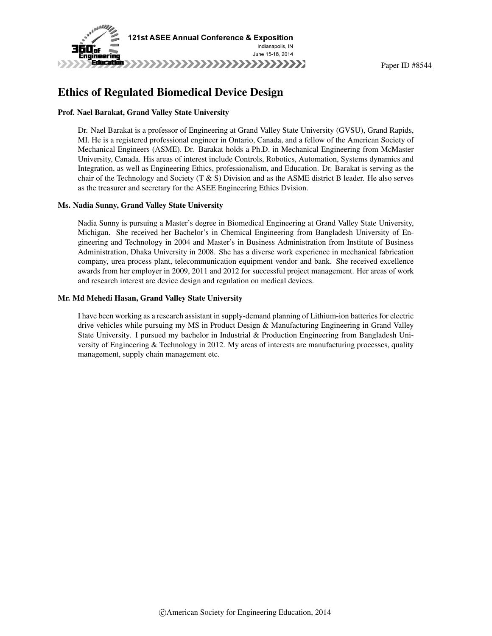

# Ethics of Regulated Biomedical Device Design

#### Prof. Nael Barakat, Grand Valley State University

Dr. Nael Barakat is a professor of Engineering at Grand Valley State University (GVSU), Grand Rapids, MI. He is a registered professional engineer in Ontario, Canada, and a fellow of the American Society of Mechanical Engineers (ASME). Dr. Barakat holds a Ph.D. in Mechanical Engineering from McMaster University, Canada. His areas of interest include Controls, Robotics, Automation, Systems dynamics and Integration, as well as Engineering Ethics, professionalism, and Education. Dr. Barakat is serving as the chair of the Technology and Society (T & S) Division and as the ASME district B leader. He also serves as the treasurer and secretary for the ASEE Engineering Ethics Dvision.

#### Ms. Nadia Sunny, Grand Valley State University

Nadia Sunny is pursuing a Master's degree in Biomedical Engineering at Grand Valley State University, Michigan. She received her Bachelor's in Chemical Engineering from Bangladesh University of Engineering and Technology in 2004 and Master's in Business Administration from Institute of Business Administration, Dhaka University in 2008. She has a diverse work experience in mechanical fabrication company, urea process plant, telecommunication equipment vendor and bank. She received excellence awards from her employer in 2009, 2011 and 2012 for successful project management. Her areas of work and research interest are device design and regulation on medical devices.

#### Mr. Md Mehedi Hasan, Grand Valley State University

I have been working as a research assistant in supply-demand planning of Lithium-ion batteries for electric drive vehicles while pursuing my MS in Product Design & Manufacturing Engineering in Grand Valley State University. I pursued my bachelor in Industrial & Production Engineering from Bangladesh University of Engineering & Technology in 2012. My areas of interests are manufacturing processes, quality management, supply chain management etc.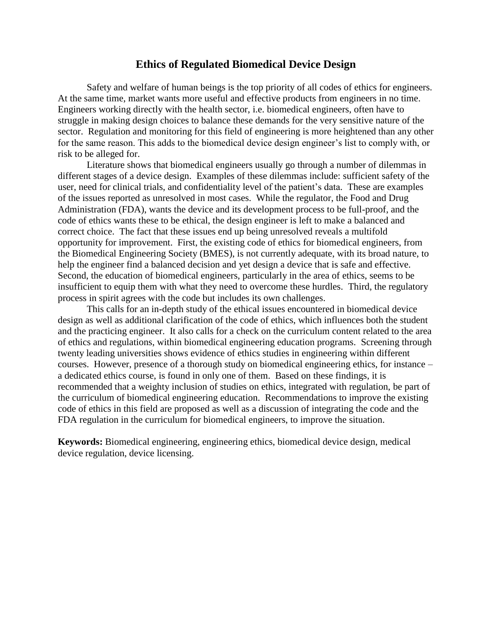# **Ethics of Regulated Biomedical Device Design**

Safety and welfare of human beings is the top priority of all codes of ethics for engineers. At the same time, market wants more useful and effective products from engineers in no time. Engineers working directly with the health sector, i.e. biomedical engineers, often have to struggle in making design choices to balance these demands for the very sensitive nature of the sector. Regulation and monitoring for this field of engineering is more heightened than any other for the same reason. This adds to the biomedical device design engineer's list to comply with, or risk to be alleged for.

Literature shows that biomedical engineers usually go through a number of dilemmas in different stages of a device design. Examples of these dilemmas include: sufficient safety of the user, need for clinical trials, and confidentiality level of the patient's data. These are examples of the issues reported as unresolved in most cases. While the regulator, the Food and Drug Administration (FDA), wants the device and its development process to be full-proof, and the code of ethics wants these to be ethical, the design engineer is left to make a balanced and correct choice. The fact that these issues end up being unresolved reveals a multifold opportunity for improvement. First, the existing code of ethics for biomedical engineers, from the Biomedical Engineering Society (BMES), is not currently adequate, with its broad nature, to help the engineer find a balanced decision and yet design a device that is safe and effective. Second, the education of biomedical engineers, particularly in the area of ethics, seems to be insufficient to equip them with what they need to overcome these hurdles. Third, the regulatory process in spirit agrees with the code but includes its own challenges.

This calls for an in-depth study of the ethical issues encountered in biomedical device design as well as additional clarification of the code of ethics, which influences both the student and the practicing engineer. It also calls for a check on the curriculum content related to the area of ethics and regulations, within biomedical engineering education programs. Screening through twenty leading universities shows evidence of ethics studies in engineering within different courses. However, presence of a thorough study on biomedical engineering ethics, for instance – a dedicated ethics course, is found in only one of them. Based on these findings, it is recommended that a weighty inclusion of studies on ethics, integrated with regulation, be part of the curriculum of biomedical engineering education. Recommendations to improve the existing code of ethics in this field are proposed as well as a discussion of integrating the code and the FDA regulation in the curriculum for biomedical engineers, to improve the situation.

**Keywords:** Biomedical engineering, engineering ethics, biomedical device design, medical device regulation, device licensing.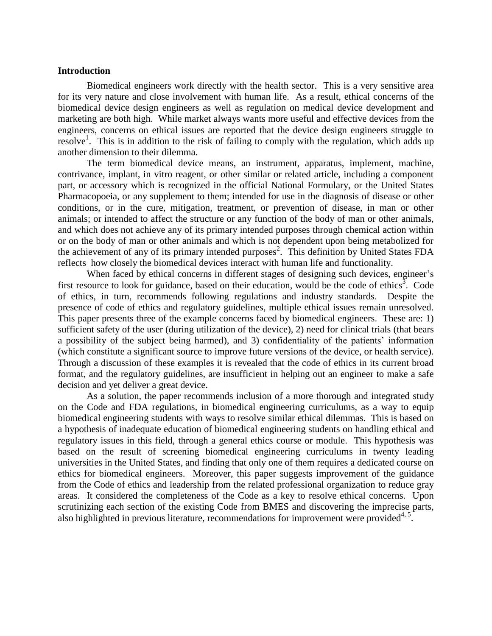#### **Introduction**

Biomedical engineers work directly with the health sector. This is a very sensitive area for its very nature and close involvement with human life. As a result, ethical concerns of the biomedical device design engineers as well as regulation on medical device development and marketing are both high. While market always wants more useful and effective devices from the engineers, concerns on ethical issues are reported that the device design engineers struggle to resolve<sup>1</sup>. This is in addition to the risk of failing to comply with the regulation, which adds up another dimension to their dilemma.

The term biomedical device means, an instrument, apparatus, implement, machine, contrivance, implant, in vitro reagent, or other similar or related article, including a component part, or accessory which is recognized in the official National Formulary, or the United States Pharmacopoeia, or any supplement to them; intended for use in the diagnosis of disease or other conditions, or in the cure, mitigation, treatment, or prevention of disease, in man or other animals; or intended to affect the structure or any function of the body of man or other animals, and which does not achieve any of its primary intended purposes through chemical action within or on the body of man or other animals and which is not dependent upon being metabolized for the achievement of any of its primary intended purposes<sup>2</sup>. This definition by United States FDA reflects how closely the biomedical devices interact with human life and functionality.

When faced by ethical concerns in different stages of designing such devices, engineer's first resource to look for guidance, based on their education, would be the code of ethics<sup>3</sup>. Code of ethics, in turn, recommends following regulations and industry standards. Despite the presence of code of ethics and regulatory guidelines, multiple ethical issues remain unresolved. This paper presents three of the example concerns faced by biomedical engineers. These are: 1) sufficient safety of the user (during utilization of the device), 2) need for clinical trials (that bears a possibility of the subject being harmed), and 3) confidentiality of the patients' information (which constitute a significant source to improve future versions of the device, or health service). Through a discussion of these examples it is revealed that the code of ethics in its current broad format, and the regulatory guidelines, are insufficient in helping out an engineer to make a safe decision and yet deliver a great device.

As a solution, the paper recommends inclusion of a more thorough and integrated study on the Code and FDA regulations, in biomedical engineering curriculums, as a way to equip biomedical engineering students with ways to resolve similar ethical dilemmas. This is based on a hypothesis of inadequate education of biomedical engineering students on handling ethical and regulatory issues in this field, through a general ethics course or module. This hypothesis was based on the result of screening biomedical engineering curriculums in twenty leading universities in the United States, and finding that only one of them requires a dedicated course on ethics for biomedical engineers. Moreover, this paper suggests improvement of the guidance from the Code of ethics and leadership from the related professional organization to reduce gray areas. It considered the completeness of the Code as a key to resolve ethical concerns. Upon scrutinizing each section of the existing Code from BMES and discovering the imprecise parts, also highlighted in previous literature, recommendations for improvement were provided<sup>4, 5</sup>.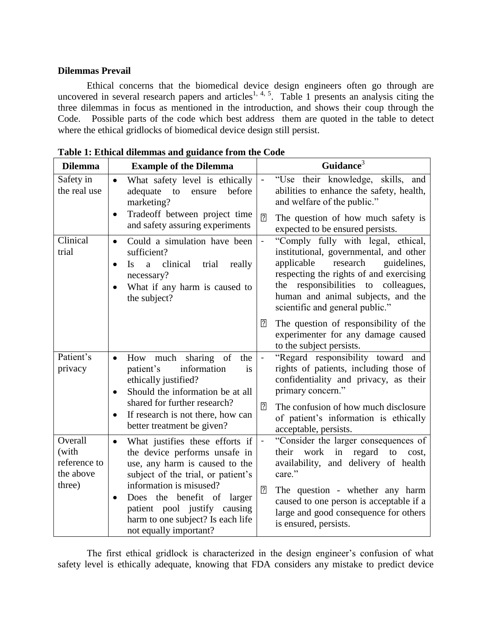### **Dilemmas Prevail**

Ethical concerns that the biomedical device design engineers often go through are uncovered in several research papers and articles<sup>1, 4, 5</sup>. Table 1 presents an analysis citing the three dilemmas in focus as mentioned in the introduction, and shows their coup through the Code. Possible parts of the code which best address them are quoted in the table to detect where the ethical gridlocks of biomedical device design still persist.

| <b>Dilemma</b>                                          | <b>Example of the Dilemma</b>                                                                                                                                                                                                                                                                                      | Guidance <sup>3</sup>                                                                                                                                                                                                                                                                                                  |  |  |  |  |
|---------------------------------------------------------|--------------------------------------------------------------------------------------------------------------------------------------------------------------------------------------------------------------------------------------------------------------------------------------------------------------------|------------------------------------------------------------------------------------------------------------------------------------------------------------------------------------------------------------------------------------------------------------------------------------------------------------------------|--|--|--|--|
| Safety in<br>the real use                               | What safety level is ethically<br>$\bullet$<br>adequate<br>before<br>to<br>ensure<br>marketing?<br>Tradeoff between project time<br>$\bullet$<br>and safety assuring experiments                                                                                                                                   | "Use their knowledge, skills, and<br>$\blacksquare$<br>abilities to enhance the safety, health,<br>and welfare of the public."<br>$\sqrt{2}$<br>The question of how much safety is<br>expected to be ensured persists.                                                                                                 |  |  |  |  |
| Clinical<br>trial                                       | Could a simulation have been<br>$\bullet$<br>sufficient?<br>clinical<br>trial<br>really<br><b>Is</b><br>a<br>$\bullet$<br>necessary?<br>What if any harm is caused to<br>$\bullet$<br>the subject?                                                                                                                 | "Comply fully with legal, ethical,<br>$\blacksquare$<br>institutional, governmental, and other<br>research<br>applicable<br>guidelines,<br>respecting the rights of and exercising<br>the responsibilities to colleagues,<br>human and animal subjects, and the<br>scientific and general public."                     |  |  |  |  |
|                                                         |                                                                                                                                                                                                                                                                                                                    | $\sqrt{2}$<br>The question of responsibility of the<br>experimenter for any damage caused<br>to the subject persists.                                                                                                                                                                                                  |  |  |  |  |
| Patient's<br>privacy                                    | How much sharing of<br>the<br>$\bullet$<br>information<br>patient's<br>is<br>ethically justified?<br>Should the information be at all<br>$\bullet$<br>shared for further research?                                                                                                                                 | "Regard responsibility toward and<br>$\blacksquare$<br>rights of patients, including those of<br>confidentiality and privacy, as their<br>primary concern."                                                                                                                                                            |  |  |  |  |
|                                                         | If research is not there, how can<br>$\bullet$<br>better treatment be given?                                                                                                                                                                                                                                       | $\sqrt{2}$<br>The confusion of how much disclosure<br>of patient's information is ethically<br>acceptable, persists.                                                                                                                                                                                                   |  |  |  |  |
| Overall<br>(with<br>reference to<br>the above<br>three) | What justifies these efforts if<br>$\bullet$<br>the device performs unsafe in<br>use, any harm is caused to the<br>subject of the trial, or patient's<br>information is misused?<br>Does the benefit of larger<br>٠<br>patient pool justify causing<br>harm to one subject? Is each life<br>not equally important? | "Consider the larger consequences of<br>$\overline{a}$<br>in<br>regard<br>their<br>work<br>to<br>cost,<br>availability, and delivery of health<br>care."<br>$\sqrt{2}$<br>The question - whether any harm<br>caused to one person is acceptable if a<br>large and good consequence for others<br>is ensured, persists. |  |  |  |  |

|  | Table 1: Ethical dilemmas and guidance from the Code |  |  |  |
|--|------------------------------------------------------|--|--|--|
|  |                                                      |  |  |  |

The first ethical gridlock is characterized in the design engineer's confusion of what safety level is ethically adequate, knowing that FDA considers any mistake to predict device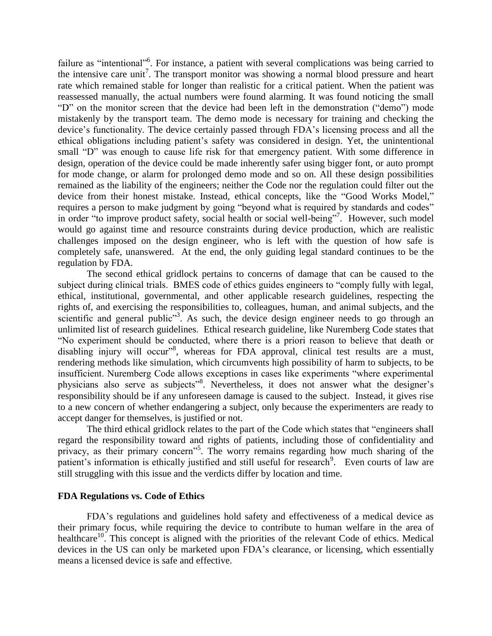failure as "intentional"<sup>6</sup>. For instance, a patient with several complications was being carried to the intensive care unit<sup>7</sup>. The transport monitor was showing a normal blood pressure and heart rate which remained stable for longer than realistic for a critical patient. When the patient was reassessed manually, the actual numbers were found alarming. It was found noticing the small "D" on the monitor screen that the device had been left in the demonstration ("demo") mode mistakenly by the transport team. The demo mode is necessary for training and checking the device's functionality. The device certainly passed through FDA's licensing process and all the ethical obligations including patient's safety was considered in design. Yet, the unintentional small "D" was enough to cause life risk for that emergency patient. With some difference in design, operation of the device could be made inherently safer using bigger font, or auto prompt for mode change, or alarm for prolonged demo mode and so on. All these design possibilities remained as the liability of the engineers; neither the Code nor the regulation could filter out the device from their honest mistake. Instead, ethical concepts, like the "Good Works Model," requires a person to make judgment by going "beyond what is required by standards and codes" in order "to improve product safety, social health or social well-being"<sup>7</sup>. However, such model would go against time and resource constraints during device production, which are realistic challenges imposed on the design engineer, who is left with the question of how safe is completely safe, unanswered. At the end, the only guiding legal standard continues to be the regulation by FDA.

The second ethical gridlock pertains to concerns of damage that can be caused to the subject during clinical trials. BMES code of ethics guides engineers to "comply fully with legal, ethical, institutional, governmental, and other applicable research guidelines, respecting the rights of, and exercising the responsibilities to, colleagues, human, and animal subjects, and the scientific and general public<sup>33</sup>. As such, the device design engineer needs to go through an unlimited list of research guidelines. Ethical research guideline, like Nuremberg Code states that "No experiment should be conducted, where there is a priori reason to believe that death or disabling injury will occur"<sup>8</sup>, whereas for FDA approval, clinical test results are a must, rendering methods like simulation, which circumvents high possibility of harm to subjects, to be insufficient. Nuremberg Code allows exceptions in cases like experiments "where experimental physicians also serve as subjects"<sup>8</sup>. Nevertheless, it does not answer what the designer's responsibility should be if any unforeseen damage is caused to the subject. Instead, it gives rise to a new concern of whether endangering a subject, only because the experimenters are ready to accept danger for themselves, is justified or not.

The third ethical gridlock relates to the part of the Code which states that "engineers shall regard the responsibility toward and rights of patients, including those of confidentiality and privacy, as their primary concern"<sup>5</sup>. The worry remains regarding how much sharing of the patient's information is ethically justified and still useful for research<sup>9</sup>. Even courts of law are still struggling with this issue and the verdicts differ by location and time.

### **FDA Regulations vs. Code of Ethics**

FDA's regulations and guidelines hold safety and effectiveness of a medical device as their primary focus, while requiring the device to contribute to human welfare in the area of healthcare<sup>10</sup>. This concept is aligned with the priorities of the relevant Code of ethics. Medical devices in the US can only be marketed upon FDA's clearance, or licensing, which essentially means a licensed device is safe and effective.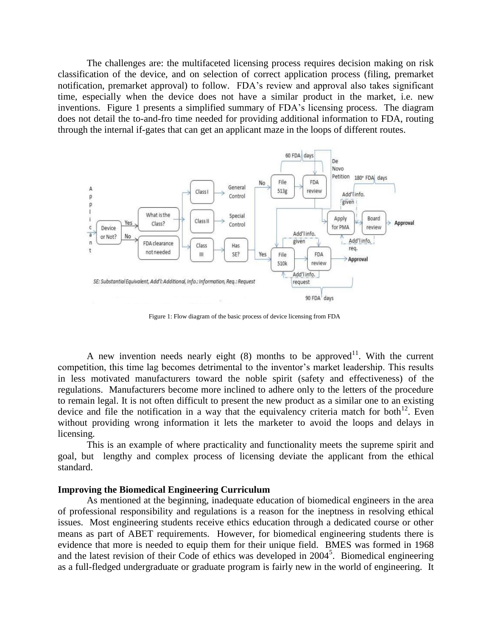The challenges are: the multifaceted licensing process requires decision making on risk classification of the device, and on selection of correct application process (filing, premarket notification, premarket approval) to follow. FDA's review and approval also takes significant time, especially when the device does not have a similar product in the market, i.e. new inventions. Figure 1 presents a simplified summary of FDA's licensing process. The diagram does not detail the to-and-fro time needed for providing additional information to FDA, routing through the internal if-gates that can get an applicant maze in the loops of different routes.



Figure 1: Flow diagram of the basic process of device licensing from FDA

A new invention needs nearly eight  $(8)$  months to be approved<sup>11</sup>. With the current competition, this time lag becomes detrimental to the inventor's market leadership. This results in less motivated manufacturers toward the noble spirit (safety and effectiveness) of the regulations. Manufacturers become more inclined to adhere only to the letters of the procedure to remain legal. It is not often difficult to present the new product as a similar one to an existing device and file the notification in a way that the equivalency criteria match for both<sup>12</sup>. Even without providing wrong information it lets the marketer to avoid the loops and delays in licensing.

This is an example of where practicality and functionality meets the supreme spirit and goal, but lengthy and complex process of licensing deviate the applicant from the ethical standard.

#### **Improving the Biomedical Engineering Curriculum**

As mentioned at the beginning, inadequate education of biomedical engineers in the area of professional responsibility and regulations is a reason for the ineptness in resolving ethical issues. Most engineering students receive ethics education through a dedicated course or other means as part of ABET requirements. However, for biomedical engineering students there is evidence that more is needed to equip them for their unique field. BMES was formed in 1968 and the latest revision of their Code of ethics was developed in 2004<sup>5</sup>. Biomedical engineering as a full-fledged undergraduate or graduate program is fairly new in the world of engineering. It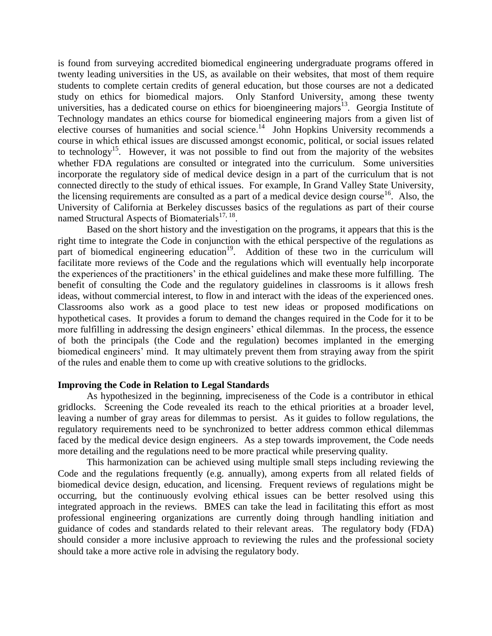is found from surveying accredited biomedical engineering undergraduate programs offered in twenty leading universities in the US, as available on their websites, that most of them require students to complete certain credits of general education, but those courses are not a dedicated study on ethics for biomedical majors. Only Stanford University, among these twenty universities, has a dedicated course on ethics for bioengineering majors<sup>13</sup>. Georgia Institute of Technology mandates an ethics course for biomedical engineering majors from a given list of elective courses of humanities and social science.<sup>14</sup> John Hopkins University recommends a course in which ethical issues are discussed amongst economic, political, or social issues related to technology<sup>15</sup>. However, it was not possible to find out from the majority of the websites whether FDA regulations are consulted or integrated into the curriculum. Some universities incorporate the regulatory side of medical device design in a part of the curriculum that is not connected directly to the study of ethical issues. For example, In Grand Valley State University, the licensing requirements are consulted as a part of a medical device design course<sup>16</sup>. Also, the University of California at Berkeley discusses basics of the regulations as part of their course named Structural Aspects of Biomaterials $17, 18$ .

Based on the short history and the investigation on the programs, it appears that this is the right time to integrate the Code in conjunction with the ethical perspective of the regulations as part of biomedical engineering education<sup>19</sup>. Addition of these two in the curriculum will facilitate more reviews of the Code and the regulations which will eventually help incorporate the experiences of the practitioners' in the ethical guidelines and make these more fulfilling. The benefit of consulting the Code and the regulatory guidelines in classrooms is it allows fresh ideas, without commercial interest, to flow in and interact with the ideas of the experienced ones. Classrooms also work as a good place to test new ideas or proposed modifications on hypothetical cases. It provides a forum to demand the changes required in the Code for it to be more fulfilling in addressing the design engineers' ethical dilemmas. In the process, the essence of both the principals (the Code and the regulation) becomes implanted in the emerging biomedical engineers' mind. It may ultimately prevent them from straying away from the spirit of the rules and enable them to come up with creative solutions to the gridlocks.

# **Improving the Code in Relation to Legal Standards**

As hypothesized in the beginning, impreciseness of the Code is a contributor in ethical gridlocks. Screening the Code revealed its reach to the ethical priorities at a broader level, leaving a number of gray areas for dilemmas to persist. As it guides to follow regulations, the regulatory requirements need to be synchronized to better address common ethical dilemmas faced by the medical device design engineers. As a step towards improvement, the Code needs more detailing and the regulations need to be more practical while preserving quality.

This harmonization can be achieved using multiple small steps including reviewing the Code and the regulations frequently (e.g. annually), among experts from all related fields of biomedical device design, education, and licensing. Frequent reviews of regulations might be occurring, but the continuously evolving ethical issues can be better resolved using this integrated approach in the reviews. BMES can take the lead in facilitating this effort as most professional engineering organizations are currently doing through handling initiation and guidance of codes and standards related to their relevant areas. The regulatory body (FDA) should consider a more inclusive approach to reviewing the rules and the professional society should take a more active role in advising the regulatory body.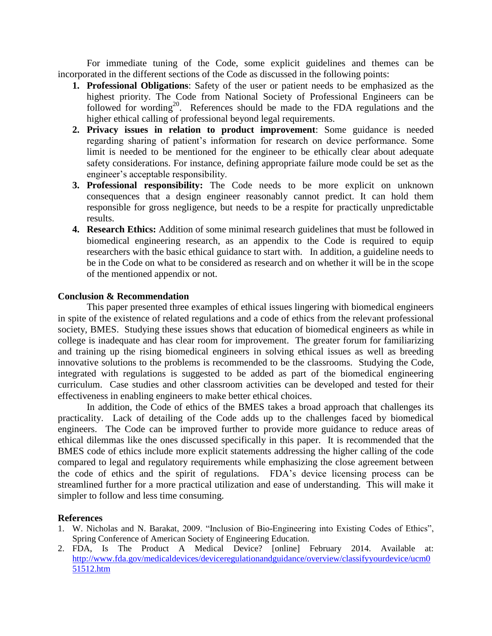For immediate tuning of the Code, some explicit guidelines and themes can be incorporated in the different sections of the Code as discussed in the following points:

- **1. Professional Obligations**: Safety of the user or patient needs to be emphasized as the highest priority. The Code from National Society of Professional Engineers can be followed for wording<sup>20</sup>. References should be made to the FDA regulations and the higher ethical calling of professional beyond legal requirements.
- **2. Privacy issues in relation to product improvement**: Some guidance is needed regarding sharing of patient's information for research on device performance. Some limit is needed to be mentioned for the engineer to be ethically clear about adequate safety considerations. For instance, defining appropriate failure mode could be set as the engineer's acceptable responsibility.
- **3. Professional responsibility:** The Code needs to be more explicit on unknown consequences that a design engineer reasonably cannot predict. It can hold them responsible for gross negligence, but needs to be a respite for practically unpredictable results.
- **4. Research Ethics:** Addition of some minimal research guidelines that must be followed in biomedical engineering research, as an appendix to the Code is required to equip researchers with the basic ethical guidance to start with. In addition, a guideline needs to be in the Code on what to be considered as research and on whether it will be in the scope of the mentioned appendix or not.

# **Conclusion & Recommendation**

This paper presented three examples of ethical issues lingering with biomedical engineers in spite of the existence of related regulations and a code of ethics from the relevant professional society, BMES. Studying these issues shows that education of biomedical engineers as while in college is inadequate and has clear room for improvement. The greater forum for familiarizing and training up the rising biomedical engineers in solving ethical issues as well as breeding innovative solutions to the problems is recommended to be the classrooms. Studying the Code, integrated with regulations is suggested to be added as part of the biomedical engineering curriculum. Case studies and other classroom activities can be developed and tested for their effectiveness in enabling engineers to make better ethical choices.

In addition, the Code of ethics of the BMES takes a broad approach that challenges its practicality. Lack of detailing of the Code adds up to the challenges faced by biomedical engineers. The Code can be improved further to provide more guidance to reduce areas of ethical dilemmas like the ones discussed specifically in this paper. It is recommended that the BMES code of ethics include more explicit statements addressing the higher calling of the code compared to legal and regulatory requirements while emphasizing the close agreement between the code of ethics and the spirit of regulations. FDA's device licensing process can be streamlined further for a more practical utilization and ease of understanding. This will make it simpler to follow and less time consuming.

# **References**

- 1. W. Nicholas and N. Barakat, 2009. "Inclusion of Bio-Engineering into Existing Codes of Ethics", Spring Conference of American Society of Engineering Education.
- 2. FDA, Is The Product A Medical Device? [online] February 2014. Available at: [http://www.fda.gov/medicaldevices/deviceregulationandguidance/overview/classifyyourdevice/ucm0](http://www.fda.gov/medicaldevices/deviceregulationandguidance/overview/classifyyourdevice/ucm051512.htm) [51512.htm](http://www.fda.gov/medicaldevices/deviceregulationandguidance/overview/classifyyourdevice/ucm051512.htm)